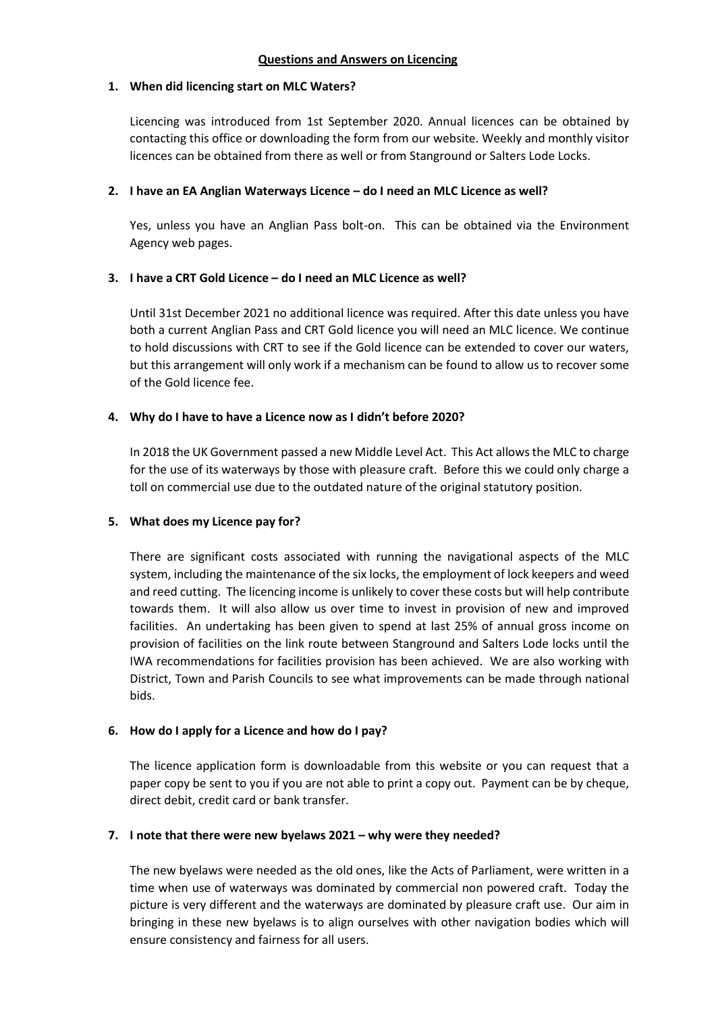### **1. When did licencing start on MLC Waters?**

Licencing was introduced from 1st September 2020. Annual licences can be obtained by contacting this office or downloading the form from our website. Weekly and monthly visitor licences can be obtained from there as well or from Stanground or Salters Lode Locks.

### **2. I have an EA Anglian Waterways Licence – do I need an MLC Licence as well?**

Yes, unless you have an Anglian Pass bolt-on. This can be obtained via the Environment Agency web pages.

# **3. I have a CRT Gold Licence – do I need an MLC Licence as well?**

Until 31st December 2021 no additional licence was required. After this date unless you have both a current Anglian Pass and CRT Gold licence you will need an MLC licence. We continue to hold discussions with CRT to see if the Gold licence can be extended to cover our waters, but this arrangement will only work if a mechanism can be found to allow us to recover some of the Gold licence fee.

### **4. Why do I have to have a Licence now as I didn't before 2020?**

In 2018 the UK Government passed a new Middle Level Act. This Act allows the MLC to charge for the use of its waterways by those with pleasure craft. Before this we could only charge a toll on commercial use due to the outdated nature of the original statutory position.

# **5. What does my Licence pay for?**

There are significant costs associated with running the navigational aspects of the MLC system, including the maintenance of the six locks, the employment of lock keepers and weed and reed cutting. The licencing income is unlikely to cover these costs but will help contribute towards them. It will also allow us over time to invest in provision of new and improved facilities. An undertaking has been given to spend at last 25% of annual gross income on provision of facilities on the link route between Stanground and Salters Lode locks until the IWA recommendations for facilities provision has been achieved. We are also working with District, Town and Parish Councils to see what improvements can be made through national bids.

# **6. How do I apply for a Licence and how do I pay?**

The licence application form is downloadable from this website or you can request that a paper copy be sent to you if you are not able to print a copy out. Payment can be by cheque, direct debit, credit card or bank transfer.

# **7. I note that there were new byelaws 2021 – why were they needed?**

The new byelaws were needed as the old ones, like the Acts of Parliament, were written in a time when use of waterways was dominated by commercial non powered craft. Today the picture is very different and the waterways are dominated by pleasure craft use. Our aim in bringing in these new byelaws is to align ourselves with other navigation bodies which will ensure consistency and fairness for all users.